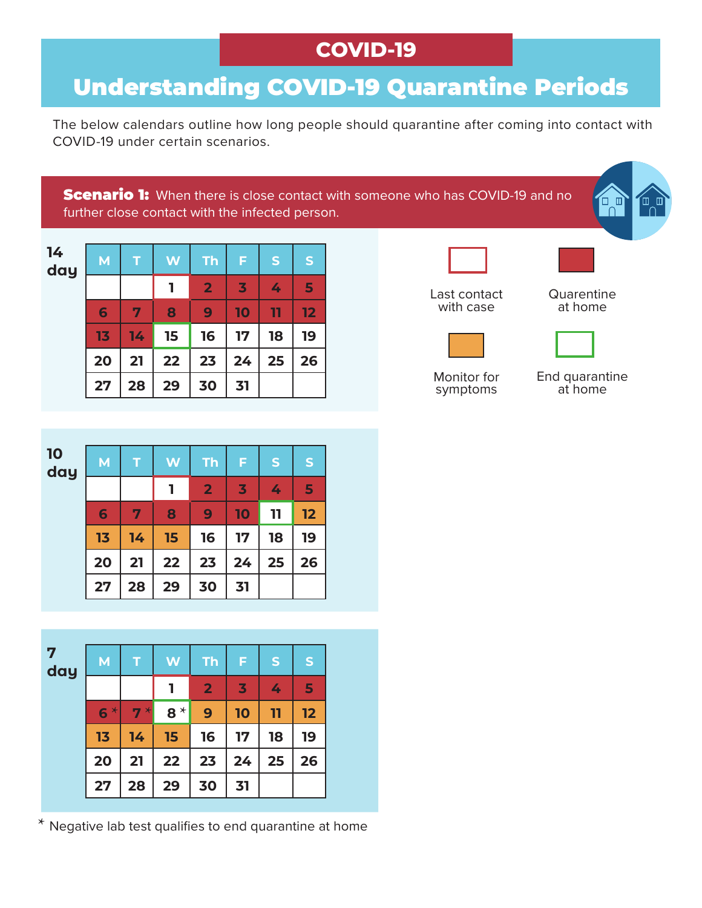## **COVID-19**

## Understanding COVID-19 Quarantine Periods

The below calendars outline how long people should quarantine after coming into contact with COVID-19 under certain scenarios.

**Scenario 1:** When there is close contact with someone who has COVID-19 and no further close contact with the infected person.

| 14<br>day | M  |    | W  | <b>Th</b>      | F                       | S  | S  |
|-----------|----|----|----|----------------|-------------------------|----|----|
|           |    |    | ı  | $\overline{2}$ | $\overline{\mathbf{3}}$ | 4  | 5  |
|           | 6  | 7  | 8  | 9              | 10                      | 11 | 12 |
|           | 13 | 14 | 15 | 16             | 17                      | 18 | 19 |
|           | 20 | 21 | 22 | 23             | 24                      | 25 | 26 |
|           | 27 | 28 | 29 | 30             | 31                      |    |    |



Monitor for symptoms

End quarantine at home





\* Negative lab test qualifies to end quarantine at home